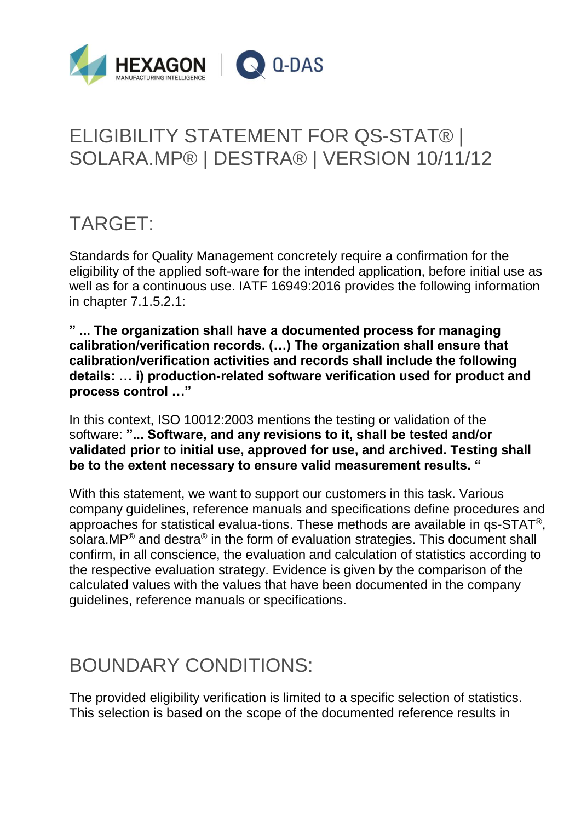

# ELIGIBILITY STATEMENT FOR QS-STAT® | SOLARA.MP® | DESTRA® | VERSION 10/11/12

### TARGET:

Standards for Quality Management concretely require a confirmation for the eligibility of the applied soft-ware for the intended application, before initial use as well as for a continuous use. IATF 16949:2016 provides the following information in chapter 7.1.5.2.1:

**" ... The organization shall have a documented process for managing calibration/verification records. (…) The organization shall ensure that calibration/verification activities and records shall include the following details: … i) production-related software verification used for product and process control …"**

In this context, ISO 10012:2003 mentions the testing or validation of the software: **"... Software, and any revisions to it, shall be tested and/or validated prior to initial use, approved for use, and archived. Testing shall be to the extent necessary to ensure valid measurement results. "**

With this statement, we want to support our customers in this task. Various company guidelines, reference manuals and specifications define procedures and approaches for statistical evalua-tions. These methods are available in qs-STAT®, solara.MP<sup>®</sup> and destra<sup>®</sup> in the form of evaluation strategies. This document shall confirm, in all conscience, the evaluation and calculation of statistics according to the respective evaluation strategy. Evidence is given by the comparison of the calculated values with the values that have been documented in the company guidelines, reference manuals or specifications.

### BOUNDARY CONDITIONS:

The provided eligibility verification is limited to a specific selection of statistics. This selection is based on the scope of the documented reference results in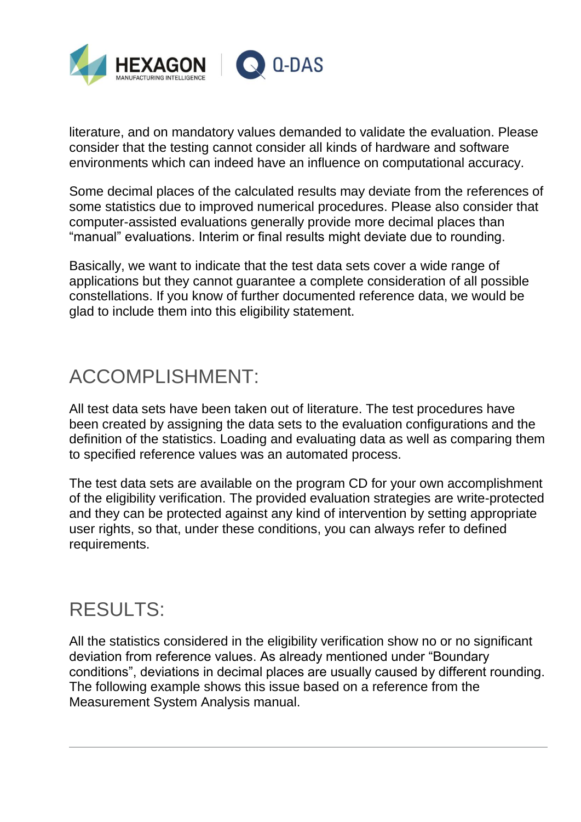

literature, and on mandatory values demanded to validate the evaluation. Please consider that the testing cannot consider all kinds of hardware and software environments which can indeed have an influence on computational accuracy.

Some decimal places of the calculated results may deviate from the references of some statistics due to improved numerical procedures. Please also consider that computer-assisted evaluations generally provide more decimal places than "manual" evaluations. Interim or final results might deviate due to rounding.

Basically, we want to indicate that the test data sets cover a wide range of applications but they cannot guarantee a complete consideration of all possible constellations. If you know of further documented reference data, we would be glad to include them into this eligibility statement.

### ACCOMPLISHMENT:

All test data sets have been taken out of literature. The test procedures have been created by assigning the data sets to the evaluation configurations and the definition of the statistics. Loading and evaluating data as well as comparing them to specified reference values was an automated process.

The test data sets are available on the program CD for your own accomplishment of the eligibility verification. The provided evaluation strategies are write-protected and they can be protected against any kind of intervention by setting appropriate user rights, so that, under these conditions, you can always refer to defined requirements.

#### RESULTS:

All the statistics considered in the eligibility verification show no or no significant deviation from reference values. As already mentioned under "Boundary conditions", deviations in decimal places are usually caused by different rounding. The following example shows this issue based on a reference from the Measurement System Analysis manual.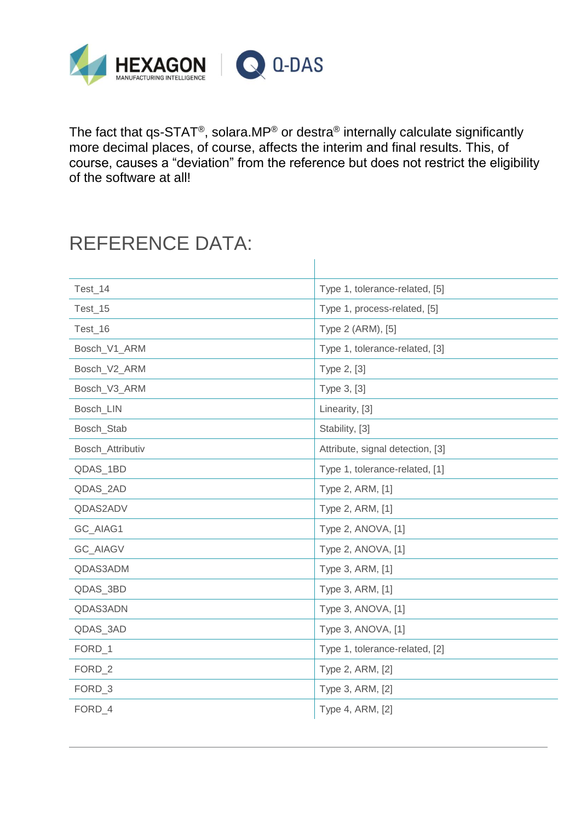

The fact that qs-STAT®, solara.MP® or destra® internally calculate significantly more decimal places, of course, affects the interim and final results. This, of course, causes a "deviation" from the reference but does not restrict the eligibility of the software at all!

#### REFERENCE DATA:

| Test_14          | Type 1, tolerance-related, [5]   |
|------------------|----------------------------------|
| Test_15          | Type 1, process-related, [5]     |
| Test 16          | Type 2 (ARM), [5]                |
| Bosch_V1_ARM     | Type 1, tolerance-related, [3]   |
| Bosch_V2_ARM     | Type 2, [3]                      |
| Bosch_V3_ARM     | Type 3, [3]                      |
| Bosch_LIN        | Linearity, [3]                   |
| Bosch_Stab       | Stability, [3]                   |
| Bosch_Attributiv | Attribute, signal detection, [3] |
| QDAS_1BD         | Type 1, tolerance-related, [1]   |
| QDAS_2AD         | Type 2, ARM, [1]                 |
| QDAS2ADV         | Type 2, ARM, [1]                 |
| GC_AIAG1         | Type 2, ANOVA, [1]               |
| GC_AIAGV         | Type 2, ANOVA, [1]               |
| QDAS3ADM         | Type 3, ARM, [1]                 |
| QDAS_3BD         | Type 3, ARM, [1]                 |
| QDAS3ADN         | Type 3, ANOVA, [1]               |
| QDAS_3AD         | Type 3, ANOVA, [1]               |
| FORD_1           | Type 1, tolerance-related, [2]   |
| FORD_2           | Type 2, ARM, [2]                 |
| FORD_3           | Type 3, ARM, [2]                 |
| FORD_4           | Type 4, ARM, [2]                 |
|                  |                                  |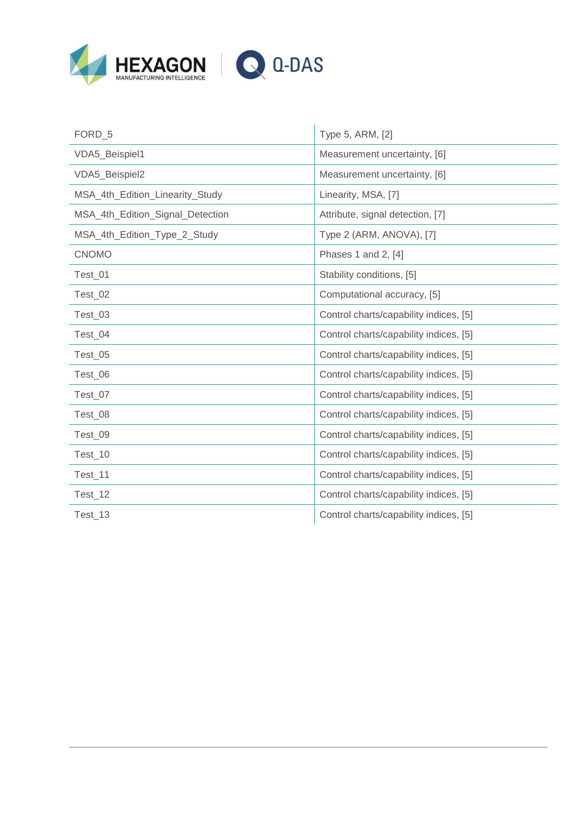

| FORD_5                           | Type 5, ARM, [2]                       |
|----------------------------------|----------------------------------------|
| VDA5_Beispiel1                   | Measurement uncertainty, [6]           |
| VDA5_Beispiel2                   | Measurement uncertainty, [6]           |
| MSA_4th_Edition_Linearity_Study  | Linearity, MSA, [7]                    |
| MSA_4th_Edition_Signal_Detection | Attribute, signal detection, [7]       |
| MSA_4th_Edition_Type_2_Study     | Type 2 (ARM, ANOVA), [7]               |
| <b>CNOMO</b>                     | Phases 1 and 2, [4]                    |
| Test_01                          | Stability conditions, [5]              |
| Test_02                          | Computational accuracy, [5]            |
| Test_03                          | Control charts/capability indices, [5] |
| Test_04                          | Control charts/capability indices, [5] |
| Test_05                          | Control charts/capability indices, [5] |
| Test_06                          | Control charts/capability indices, [5] |
| Test_07                          | Control charts/capability indices, [5] |
| Test_08                          | Control charts/capability indices, [5] |
| Test_09                          | Control charts/capability indices, [5] |
| Test_10                          | Control charts/capability indices, [5] |
| Test_11                          | Control charts/capability indices, [5] |
| Test_12                          | Control charts/capability indices, [5] |
| Test 13                          | Control charts/capability indices, [5] |